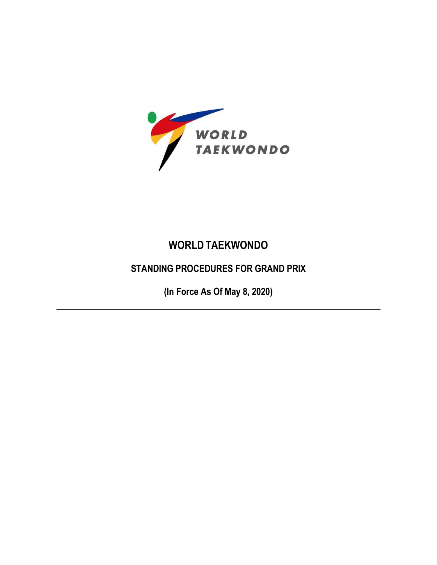

# **WORLD TAEKWONDO**

## **STANDING PROCEDURES FOR GRAND PRIX**

**(In Force As Of May 8, 2020)**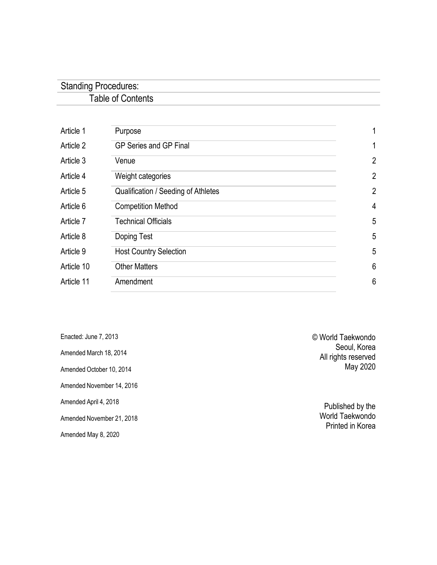## Standing Procedures: Table of Contents

| Article 1  | Purpose                             | 1              |
|------------|-------------------------------------|----------------|
| Article 2  | <b>GP Series and GP Final</b>       | 1              |
| Article 3  | Venue                               | $\overline{2}$ |
| Article 4  | Weight categories                   | $\overline{2}$ |
| Article 5  | Qualification / Seeding of Athletes | $\overline{2}$ |
| Article 6  | <b>Competition Method</b>           | 4              |
| Article 7  | <b>Technical Officials</b>          | 5              |
| Article 8  | Doping Test                         | 5              |
| Article 9  | <b>Host Country Selection</b>       | 5              |
| Article 10 | <b>Other Matters</b>                | 6              |
| Article 11 | Amendment                           | 6              |
|            |                                     |                |

Enacted: June 7, 2013 Amended March 18, 2014 Amended October 10, 2014 Amended November 14, 2016 Amended April 4, 2018 Amended November 21, 2018 Amended May 8, 2020

© World Taekwondo Seoul, Korea All rights reserved May 2020

> Published by the World Taekwondo Printed in Korea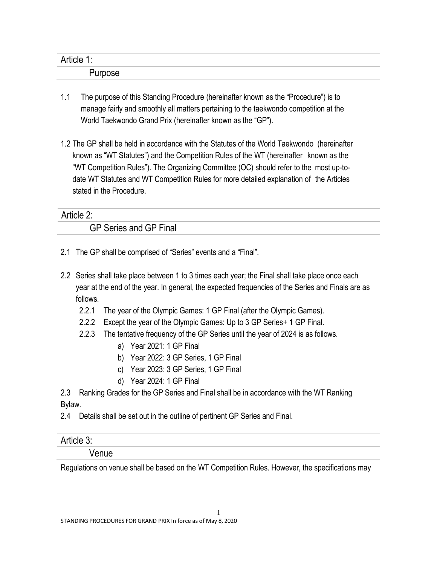| Article 1:<br>. . |  |
|-------------------|--|
| -<br>urpose       |  |

- 1.1 The purpose of this Standing Procedure (hereinafter known as the "Procedure") is to manage fairly and smoothly all matters pertaining to the taekwondo competition at the World Taekwondo Grand Prix (hereinafter known as the "GP").
- 1.2 The GP shall be held in accordance with the Statutes of the World Taekwondo (hereinafter known as "WT Statutes") and the Competition Rules of the WT (hereinafter known as the "WT Competition Rules"). The Organizing Committee (OC) should refer to the most up-todate WT Statutes and WT Competition Rules for more detailed explanation of the Articles stated in the Procedure.

### Article 2:

GP Series and GP Final

- 2.1 The GP shall be comprised of "Series" events and a "Final".
- 2.2 Series shall take place between 1 to 3 times each year; the Final shall take place once each year at the end of the year. In general, the expected frequencies of the Series and Finals are as follows.
	- 2.2.1 The year of the Olympic Games: 1 GP Final (after the Olympic Games).
	- 2.2.2 Except the year of the Olympic Games: Up to 3 GP Series+ 1 GP Final.
	- 2.2.3 The tentative frequency of the GP Series until the year of 2024 is as follows.
		- a) Year 2021: 1 GP Final
		- b) Year 2022: 3 GP Series, 1 GP Final
		- c) Year 2023: 3 GP Series, 1 GP Final
		- d) Year 2024: 1 GP Final

2.3 Ranking Grades for the GP Series and Final shall be in accordance with the WT Ranking Bylaw.

2.4 Details shall be set out in the outline of pertinent GP Series and Final.

### Article 3:

### Venue

Regulations on venue shall be based on the WT Competition Rules. However, the specifications may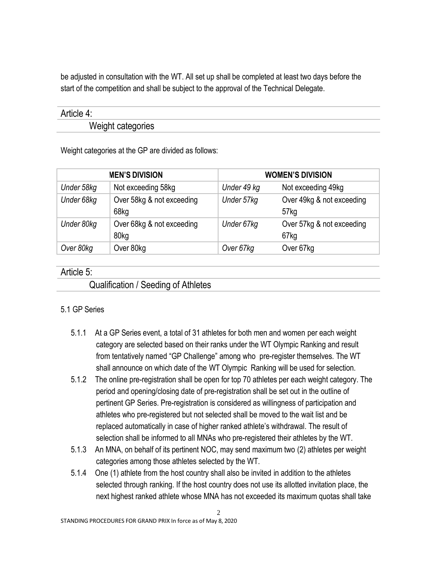be adjusted in consultation with the WT. All set up shall be completed at least two days before the start of the competition and shall be subject to the approval of the Technical Delegate.

### Article 4:

Weight categories

Weight categories at the GP are divided as follows:

| <b>MEN'S DIVISION</b> |                                   | <b>WOMEN'S DIVISION</b> |                                   |
|-----------------------|-----------------------------------|-------------------------|-----------------------------------|
| Under 58kg            | Not exceeding 58kg                | Under 49 kg             | Not exceeding 49kg                |
| Under 68kg            | Over 58kg & not exceeding<br>68kg | Under 57kg              | Over 49kg & not exceeding<br>57kg |
| Under 80kg            | Over 68kg & not exceeding<br>80kg | Under 67kg              | Over 57kg & not exceeding<br>67kg |
| Over 80kg             | Over 80kg                         | Over 67kg               | Over 67kg                         |

### Article 5:

Qualification / Seeding of Athletes

### 5.1 GP Series

- 5.1.1 At a GP Series event, a total of 31 athletes for both men and women per each weight category are selected based on their ranks under the WT Olympic Ranking and result from tentatively named "GP Challenge" among who pre-register themselves. The WT shall announce on which date of the WT Olympic Ranking will be used for selection.
- 5.1.2 The online pre-registration shall be open for top 70 athletes per each weight category. The period and opening/closing date of pre-registration shall be set out in the outline of pertinent GP Series. Pre-registration is considered as willingness of participation and athletes who pre-registered but not selected shall be moved to the wait list and be replaced automatically in case of higher ranked athlete's withdrawal. The result of selection shall be informed to all MNAs who pre-registered their athletes by the WT.
- 5.1.3 An MNA, on behalf of its pertinent NOC, may send maximum two (2) athletes per weight categories among those athletes selected by the WT.
- 5.1.4 One (1) athlete from the host country shall also be invited in addition to the athletes selected through ranking. If the host country does not use its allotted invitation place, the next highest ranked athlete whose MNA has not exceeded its maximum quotas shall take

 $\gamma$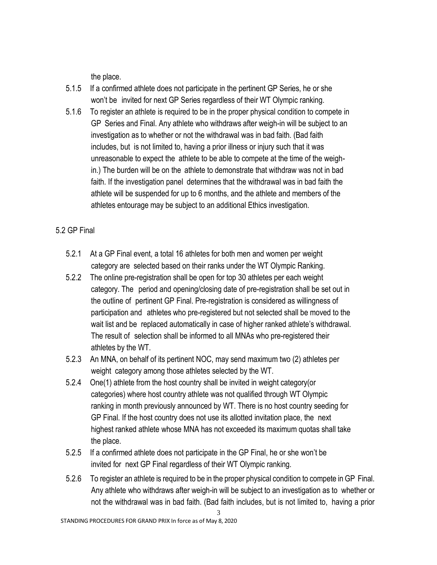the place.

- 5.1.5 If a confirmed athlete does not participate in the pertinent GP Series, he or she won't be invited for next GP Series regardless of their WT Olympic ranking.
- 5.1.6 To register an athlete is required to be in the proper physical condition to compete in GP Series and Final. Any athlete who withdraws after weigh-in will be subject to an investigation as to whether or not the withdrawal was in bad faith. (Bad faith includes, but is not limited to, having a prior illness or injury such that it was unreasonable to expect the athlete to be able to compete at the time of the weighin.) The burden will be on the athlete to demonstrate that withdraw was not in bad faith. If the investigation panel determines that the withdrawal was in bad faith the athlete will be suspended for up to 6 months, and the athlete and members of the athletes entourage may be subject to an additional Ethics investigation.

### 5.2 GP Final

- 5.2.1 At a GP Final event, a total 16 athletes for both men and women per weight category are selected based on their ranks under the WT Olympic Ranking.
- 5.2.2 The online pre-registration shall be open for top 30 athletes per each weight category. The period and opening/closing date of pre-registration shall be set out in the outline of pertinent GP Final. Pre-registration is considered as willingness of participation and athletes who pre-registered but not selected shall be moved to the wait list and be replaced automatically in case of higher ranked athlete's withdrawal. The result of selection shall be informed to all MNAs who pre-registered their athletes by the WT.
- 5.2.3 An MNA, on behalf of its pertinent NOC, may send maximum two (2) athletes per weight category among those athletes selected by the WT.
- 5.2.4 One(1) athlete from the host country shall be invited in weight category(or categories) where host country athlete was not qualified through WT Olympic ranking in month previously announced by WT. There is no host country seeding for GP Final. If the host country does not use its allotted invitation place, the next highest ranked athlete whose MNA has not exceeded its maximum quotas shall take the place.
- 5.2.5 If a confirmed athlete does not participate in the GP Final, he or she won't be invited for next GP Final regardless of their WT Olympic ranking.
- 5.2.6 To register an athlete is required to be in the proper physical condition to compete in GP Final. Any athlete who withdraws after weigh-in will be subject to an investigation as to whether or not the withdrawal was in bad faith. (Bad faith includes, but is not limited to, having a prior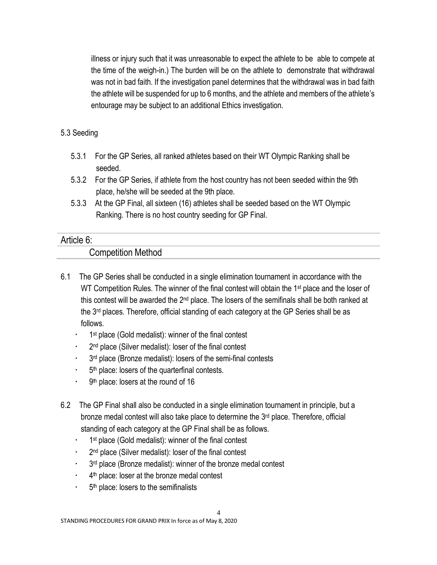illness or injury such that it was unreasonable to expect the athlete to be able to compete at the time of the weigh-in.) The burden will be on the athlete to demonstrate that withdrawal was not in bad faith. If the investigation panel determines that the withdrawal was in bad faith the athlete will be suspended for up to 6 months, and the athlete and members of the athlete's entourage may be subject to an additional Ethics investigation.

#### 5.3 Seeding

- 5.3.1 For the GP Series, all ranked athletes based on their WT Olympic Ranking shall be seeded.
- 5.3.2 For the GP Series, if athlete from the host country has not been seeded within the 9th place, he/she will be seeded at the 9th place.
- 5.3.3 At the GP Final, all sixteen (16) athletes shall be seeded based on the WT Olympic Ranking. There is no host country seeding for GP Final.

#### Article 6:

### Competition Method

- 6.1 The GP Series shall be conducted in a single elimination tournament in accordance with the WT Competition Rules. The winner of the final contest will obtain the 1<sup>st</sup> place and the loser of this contest will be awarded the 2<sup>nd</sup> place. The losers of the semifinals shall be both ranked at the 3<sup>rd</sup> places. Therefore, official standing of each category at the GP Series shall be as follows.
	- <sup>1</sup> 1<sup>st</sup> place (Gold medalist): winner of the final contest
	- <sup>2nd</sup> place (Silver medalist): loser of the final contest
	- 3<sup>rd</sup> place (Bronze medalist): losers of the semi-final contests
	- **5th place: losers of the quarterfinal contests.**
	- . 9<sup>th</sup> place: losers at the round of 16
- 6.2 The GP Final shall also be conducted in a single elimination tournament in principle, but a bronze medal contest will also take place to determine the 3<sup>rd</sup> place. Therefore, official standing of each category at the GP Final shall be as follows.
	- <sup>1</sup> <sup>1st</sup> place (Gold medalist): winner of the final contest
	- <sup>2nd</sup> place (Silver medalist): loser of the final contest
	- 3<sup>rd</sup> place (Bronze medalist): winner of the bronze medal contest
	- <sup>4th</sup> place: loser at the bronze medal contest
	- **5th place: losers to the semifinalists**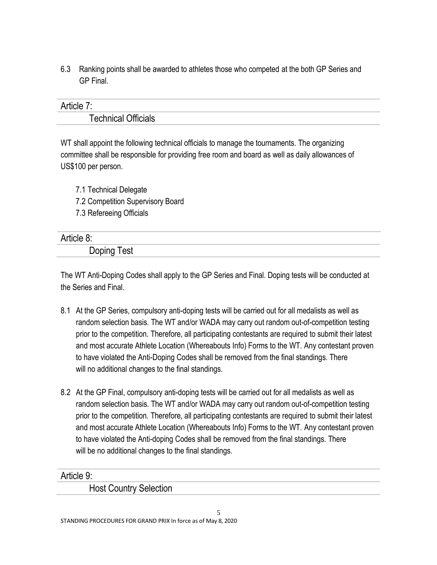6.3 Ranking points shall be awarded to athletes those who competed at the both GP Series and GP Final.

| Article                    |  |
|----------------------------|--|
| <b>Technical Officials</b> |  |

WT shall appoint the following technical officials to manage the tournaments. The organizing committee shall be responsible for providing free room and board as well as daily allowances of US\$100 per person.

7.1 Technical Delegate 7.2 Competition Supervisory Board 7.3 Refereeing Officials

| Article 8:  |  |
|-------------|--|
| Doping Test |  |

The WT Anti-Doping Codes shall apply to the GP Series and Final. Doping tests will be conducted at the Series and Final.

- 8.1 At the GP Series, compulsory anti-doping tests will be carried out for all medalists as well as random selection basis. The WT and/or WADA may carry out random out-of-competition testing prior to the competition. Therefore, all participating contestants are required to submit their latest and most accurate Athlete Location (Whereabouts Info) Forms to the WT. Any contestant proven to have violated the Anti-Doping Codes shall be removed from the final standings. There will no additional changes to the final standings.
- 8.2 At the GP Final, compulsory anti-doping tests will be carried out for all medalists as well as random selection basis. The WT and/or WADA may carry out random out-of-competition testing prior to the competition. Therefore, all participating contestants are required to submit their latest and most accurate Athlete Location (Whereabouts Info) Forms to the WT. Any contestant proven to have violated the Anti-doping Codes shall be removed from the final standings. There will be no additional changes to the final standings.

Article 9:

Host Country Selection